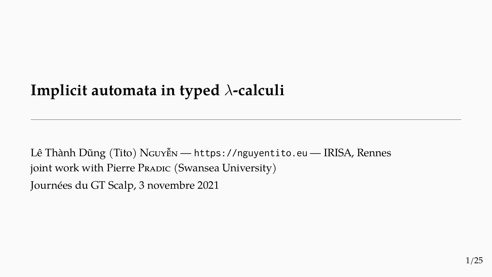# **Implicit automata in typed** *λ***-calculi**

Lê Thành Dũng (Tito) NGUYỄN — https://nguyentito.eu — IRISA, Rennes joint work with Pierre PRADIC (Swansea University)

Journées du GT Scalp, 3 novembre 2021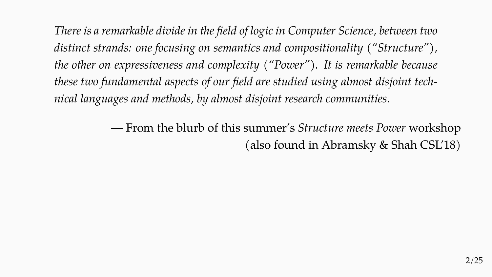*There is a remarkable divide in the field of logic in Computer Science, between two distinct strands: one focusing on semantics and compositionality ("Structure"), the other on expressiveness and complexity ("Power"). It is remarkable because these two fundamental aspects of our field are studied using almost disjoint technical languages and methods, by almost disjoint research communities.*

> — From the blurb of this summer's *Structure meets Power* workshop (also found in Abramsky & Shah CSL'18)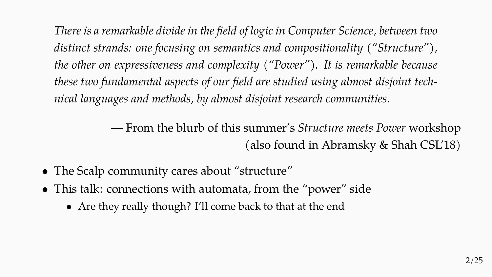*There is a remarkable divide in the field of logic in Computer Science, between two distinct strands: one focusing on semantics and compositionality ("Structure"), the other on expressiveness and complexity ("Power"). It is remarkable because these two fundamental aspects of our field are studied using almost disjoint technical languages and methods, by almost disjoint research communities.*

> — From the blurb of this summer's *Structure meets Power* workshop (also found in Abramsky & Shah CSL'18)

- The Scalp community cares about "structure"
- This talk: connections with automata, from the "power" side
	- Are they really though? I'll come back to that at the end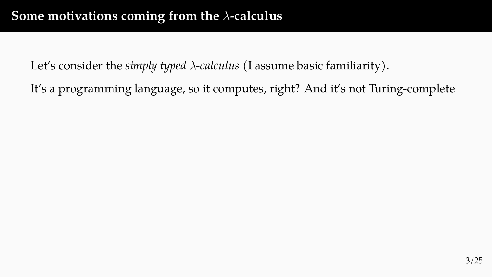It's a programming language, so it computes, right? And it's not Turing-complete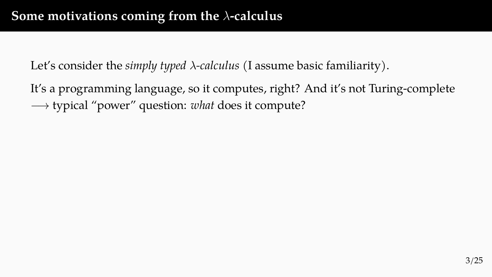It's a programming language, so it computes, right? And it's not Turing-complete *−→* typical "power" question: *what* does it compute?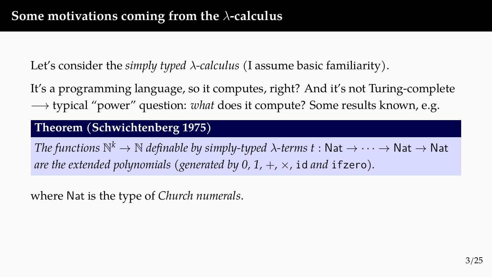It's a programming language, so it computes, right? And it's not Turing-complete *−→* typical "power" question: *what* does it compute? Some results known, e.g.

#### **Theorem (Schwichtenberg 1975)**

*The functions*  $\mathbb{N}^k \to \mathbb{N}$  *definable by simply-typed*  $\lambda$ *-terms*  $t:$  *Nat*  $\to \cdots \to$  *Nat*  $\to$  *Nat are the extended polynomials (generated by 0, 1,*  $+$ *,*  $\times$ *, id and ifzero).* 

where Nat is the type of *Church numerals*.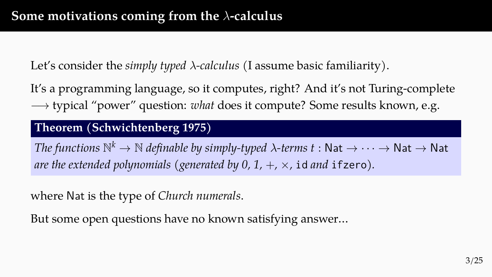It's a programming language, so it computes, right? And it's not Turing-complete *−→* typical "power" question: *what* does it compute? Some results known, e.g.

#### **Theorem (Schwichtenberg 1975)**

*The functions*  $\mathbb{N}^k \to \mathbb{N}$  *definable by simply-typed*  $\lambda$ *-terms*  $t:$  *Nat*  $\to \cdots \to$  *Nat*  $\to$  *Nat are the extended polynomials (generated by 0, 1,*  $+$ *,*  $\times$ *, id and ifzero).* 

where Nat is the type of *Church numerals*.

But some open questions have no known satisfying answer…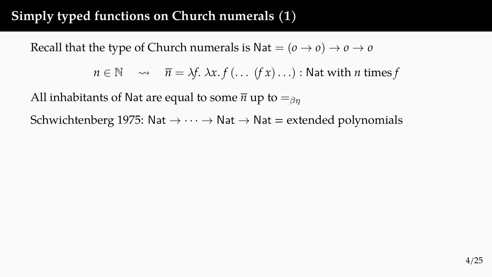## **Simply typed functions on Church numerals (1)**

Recall that the type of Church numerals is Nat  $=(\rho \rightarrow \rho) \rightarrow \rho \rightarrow \rho$ 

$$
n \in \mathbb{N} \quad \leadsto \quad \overline{n} = \lambda f. \lambda x. f( \dots (f x) \dots ) : \text{Nat with } n \text{ times } f
$$

All inhabitants of Nat are equal to some  $\bar{n}$  up to  $=_{\beta n}$ 

Schwichtenberg 1975: Nat *→ · · · →* Nat *→* Nat = extended polynomials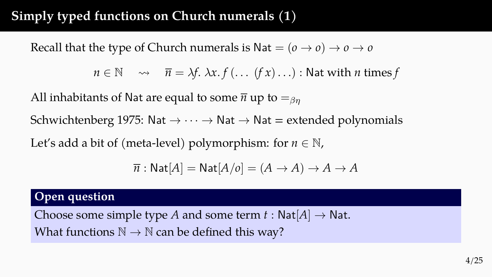## **Simply typed functions on Church numerals (1)**

Recall that the type of Church numerals is Nat  $=(\rho \rightarrow \rho) \rightarrow \rho \rightarrow \rho$ 

 $n \in \mathbb{N}$   $\rightarrow$   $\overline{n} = \lambda f \cdot \lambda x \cdot f (\dots (f x) \dots)$ : Nat with *n* times *f* 

All inhabitants of Nat are equal to some  $\bar{n}$  up to  $=_{\beta n}$ 

Schwichtenberg 1975: Nat *→ · · · →* Nat *→* Nat = extended polynomials

Let's add a bit of (meta-level) polymorphism: for  $n \in \mathbb{N}$ ,

$$
\overline{n}: \mathsf{Nat}[A] = \mathsf{Nat}[A/o] = (A \to A) \to A \to A
$$

#### **Open question**

Choose some simple type *A* and some term  $t : Nat[A] \rightarrow Nat$ . What functions  $\mathbb{N} \to \mathbb{N}$  can be defined this way?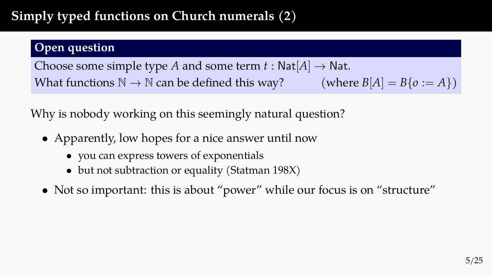# **Simply typed functions on Church numerals (2)**

#### **Open question**

Choose some simple type *A* and some term  $t : Nat[A] \rightarrow Nat$ . What functions  $\mathbb{N} \to \mathbb{N}$  can be defined this way? (where  $B[A] = B\{o := A\}$ )

Why is nobody working on this seemingly natural question?

- Apparently, low hopes for a nice answer until now
	- you can express towers of exponentials
	- but not subtraction or equality (Statman 198X)
- Not so important: this is about "power" while our focus is on "structure"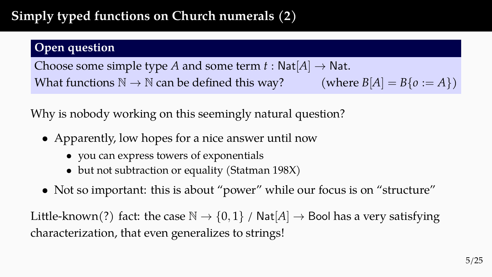# **Simply typed functions on Church numerals (2)**

#### **Open question**

Choose some simple type *A* and some term  $t : Nat[A] \rightarrow Nat$ . What functions  $\mathbb{N} \to \mathbb{N}$  can be defined this way? (where  $B[A] = B\{o := A\}$ )

Why is nobody working on this seemingly natural question?

- Apparently, low hopes for a nice answer until now
	- you can express towers of exponentials
	- but not subtraction or equality (Statman 198X)
- Not so important: this is about "power" while our focus is on "structure"

Little-known(?) fact: the case  $\mathbb{N} \to \{0,1\}$  /  $\mathsf{Nat}[A] \to \mathsf{Bool}$  has a very satisfying characterization, that even generalizes to strings!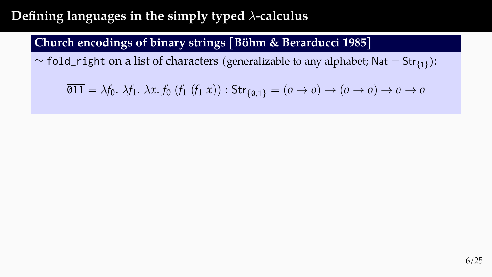### **Church encodings of binary strings [Böhm & Berarducci 1985]**

 $\simeq$  <code>fold\_right</code> on a list of characters (generalizable to any alphabet; Nat  $=$  Str $_{\{1\}}$ ):

$$
\overline{\text{011}} = \lambda f_0. \lambda f_1. \lambda x. f_0 \ (f_1 \ (f_1 \ x)) : \text{Str}_{\{0,1\}} = (o \to o) \to (o \to o) \to o \to o
$$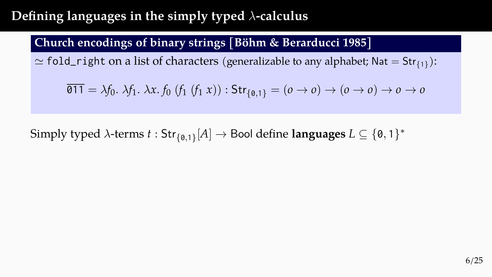### **Church encodings of binary strings [Böhm & Berarducci 1985]**

 $\simeq$  <code>fold\_right</code> on a list of characters (generalizable to any alphabet; Nat  $=$  Str $_{\{1\}}$ ):

$$
\overline{\text{011}} = \lambda f_0. \lambda f_1. \lambda x. f_0 \ (f_1 \ (f_1 \ x)) : \text{Str}_{\{0,1\}} = (o \to o) \to (o \to o) \to o \to o
$$

Simply typed *λ*-terms  $t: \mathsf{Str}_{\{0,1\}}[A] \to \mathsf{Bool}$  define  $\mathsf{languages}\ L \subseteq \{\mathsf{0},\mathsf{1}\}^*$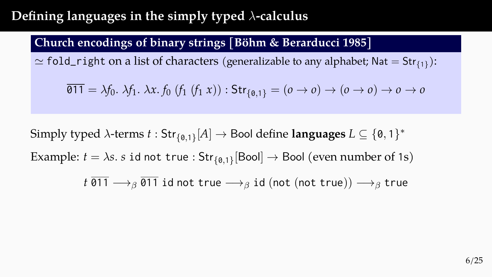### **Church encodings of binary strings [Böhm & Berarducci 1985]**

 $\simeq$  <code>fold\_right</code> on a list of characters (generalizable to any alphabet; Nat  $=$  Str $_{\{1\}}$ ):

$$
\overline{\text{011}} = \lambda f_0. \lambda f_1. \lambda x. f_0 \ (f_1 \ (f_1 \ x)) : \text{Str}_{\{0,1\}} = (o \to o) \to (o \to o) \to o \to o
$$

Simply typed *λ*-terms  $t: \mathsf{Str}_{\{0,1\}}[A] \to \mathsf{Bool}$  define  $\mathsf{languages}\ L \subseteq \{\mathsf{0},\mathsf{1}\}^*$ Example:  $t = \lambda s$ *.*  $s$  id not true :  $\mathsf{Str}_{\{\emptyset,1\}}[\mathsf{Bool}] \to \mathsf{Bool}$  (even number of 1s)

$$
t \overline{011} \longrightarrow_{\beta} \overline{011}
$$
id not true  $\longrightarrow_{\beta}$ id (not (not true))  $\longrightarrow_{\beta}$  true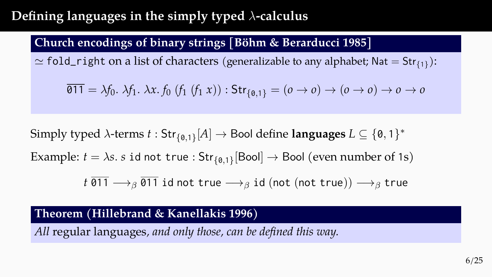#### **Church encodings of binary strings [Böhm & Berarducci 1985]**

 $\simeq$  <code>fold\_right</code> on a list of characters (generalizable to any alphabet; Nat  $=$  Str $_{\{1\}}$ ):

$$
\overline{\text{011}} = \lambda f_0. \lambda f_1. \lambda x. f_0 \ (f_1 \ (f_1 \ x)) : \text{Str}_{\{0,1\}} = (o \to o) \to (o \to o) \to o \to o
$$

Simply typed *λ*-terms  $t: \mathsf{Str}_{\{0,1\}}[A] \to \mathsf{Bool}$  define  $\mathsf{languages}\ L \subseteq \{\mathsf{0},\mathsf{1}\}^*$ Example:  $t = \lambda s$ *.*  $s$  id not true :  $\mathsf{Str}_{\{\emptyset,1\}}[\mathsf{Bool}] \to \mathsf{Bool}$  (even number of 1s)

 $t \overline{011} \longrightarrow_{\beta} \overline{011}$  id not true  $\longrightarrow_{\beta}$  id (not (not true))  $\longrightarrow_{\beta}$  true

#### **Theorem (Hillebrand & Kanellakis 1996)**

*All* regular languages*, and only those, can be defined this way.*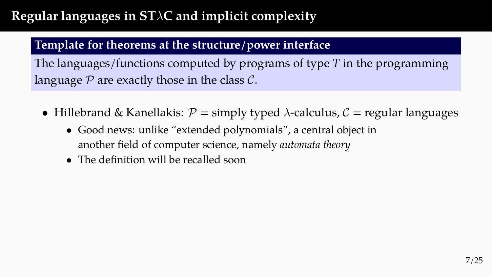## **Regular languages in ST***λ***C and implicit complexity**

#### **Template for theorems at the structure/power interface**

The languages/functions computed by programs of type *T* in the programming language *P* are exactly those in the class *C*.

- Hillebrand & Kanellakis:  $P =$  simply typed  $\lambda$ -calculus,  $C =$  regular languages
	- Good news: unlike "extended polynomials", a central object in another field of computer science, namely *automata theory*
	- The definition will be recalled soon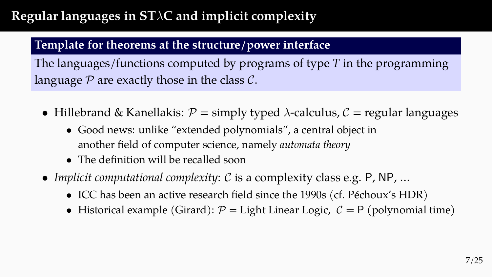## **Regular languages in ST***λ***C and implicit complexity**

#### **Template for theorems at the structure/power interface**

The languages/functions computed by programs of type *T* in the programming language *P* are exactly those in the class *C*.

- Hillebrand & Kanellakis:  $P =$  simply typed  $\lambda$ -calculus,  $C =$  regular languages
	- Good news: unlike "extended polynomials", a central object in another field of computer science, namely *automata theory*
	- The definition will be recalled soon
- *Implicit computational complexity*: *C* is a complexity class e.g. P, NP, …
	- ICC has been an active research field since the 1990s (cf. Péchoux's HDR)
	- Historical example (Girard):  $P =$  Light Linear Logic,  $C = P$  (polynomial time)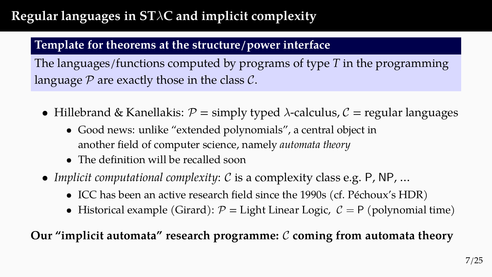## **Regular languages in ST***λ***C and implicit complexity**

#### **Template for theorems at the structure/power interface**

The languages/functions computed by programs of type *T* in the programming language *P* are exactly those in the class *C*.

- Hillebrand & Kanellakis:  $P =$  simply typed  $\lambda$ -calculus,  $C =$  regular languages
	- Good news: unlike "extended polynomials", a central object in another field of computer science, namely *automata theory*
	- The definition will be recalled soon
- *Implicit computational complexity*: *C* is a complexity class e.g. P, NP, …
	- ICC has been an active research field since the 1990s (cf. Péchoux's HDR)
	- Historical example (Girard):  $P =$  Light Linear Logic,  $C = P$  (polynomial time)

### **Our "implicit automata" research programme:** *C* **coming from automata theory**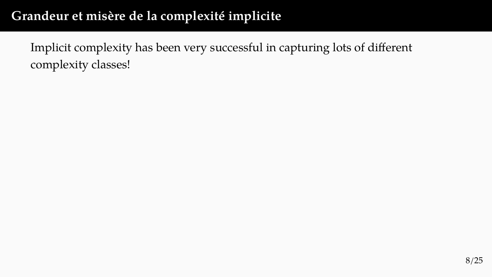Implicit complexity has been very successful in capturing lots of different complexity classes!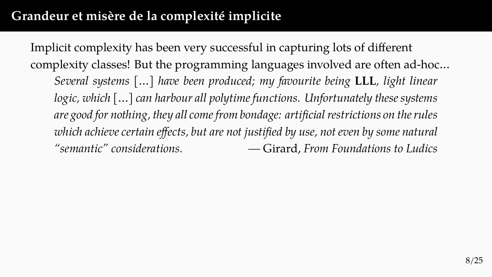Implicit complexity has been very successful in capturing lots of different complexity classes! But the programming languages involved are often ad-hoc… *Several systems […] have been produced; my favourite being* **LLL***, light linear logic, which […] can harbour all polytime functions. Unfortunately these systems are good for nothing, they all come from bondage: artificial restrictions on the rules which achieve certain effects, but are not justified by use, not even by some natural "semantic" considerations. —* Girard, *From Foundations to Ludics*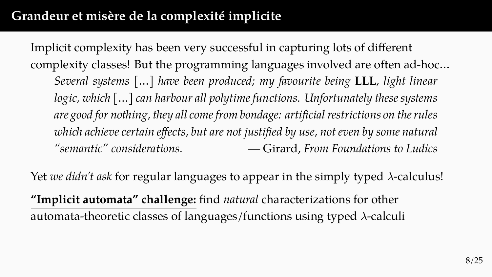Implicit complexity has been very successful in capturing lots of different complexity classes! But the programming languages involved are often ad-hoc… *Several systems […] have been produced; my favourite being* **LLL***, light linear logic, which […] can harbour all polytime functions. Unfortunately these systems are good for nothing, they all come from bondage: artificial restrictions on the rules which achieve certain effects, but are not justified by use, not even by some natural "semantic" considerations. —* Girard, *From Foundations to Ludics*

Yet *we didn't ask* for regular languages to appear in the simply typed *λ*-calculus!

**"Implicit automata" challenge:** find *natural* characterizations for other automata-theoretic classes of languages/functions using typed *λ*-calculi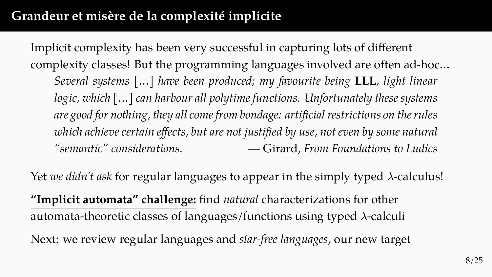Implicit complexity has been very successful in capturing lots of different complexity classes! But the programming languages involved are often ad-hoc… *Several systems […] have been produced; my favourite being* **LLL***, light linear logic, which […] can harbour all polytime functions. Unfortunately these systems are good for nothing, they all come from bondage: artificial restrictions on the rules which achieve certain effects, but are not justified by use, not even by some natural "semantic" considerations. —* Girard, *From Foundations to Ludics*

Yet *we didn't ask* for regular languages to appear in the simply typed *λ*-calculus!

**"Implicit automata" challenge:** find *natural* characterizations for other automata-theoretic classes of languages/functions using typed *λ*-calculi Next: we review regular languages and *star-free languages*, our new target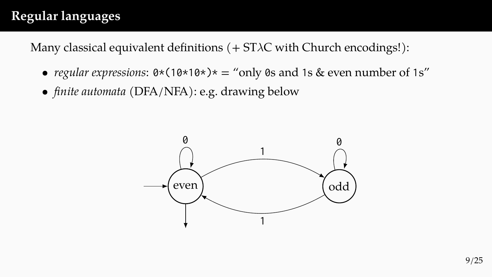## **Regular languages**

Many classical equivalent definitions (+ ST*λ*C with Church encodings!):

- *regular expressions*:  $0*(10*10*)* =$  "only 0s and 1s & even number of 1s"
- *finite automata* (DFA/NFA): e.g. drawing below

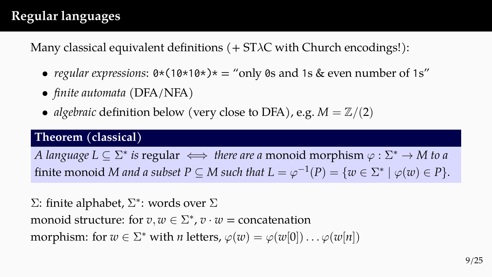## **Regular languages**

Many classical equivalent definitions (+ ST*λ*C with Church encodings!):

- *regular expressions*:  $0*(10*10*)* =$  "only 0s and 1s & even number of 1s"
- *finite automata* (DFA/NFA)
- *algebraic* definition below (very close to DFA), e.g.  $M = \mathbb{Z}/(2)$

#### **Theorem (classical)**

*A language L*  $\subseteq \Sigma^*$  *is* regular  $\iff$  *there are a* monoid morphism  $\varphi : \Sigma^* \to M$  *to a* finite monoid *M* and a subset  $P \subseteq M$  such that  $L = \varphi^{-1}(P) = \{w \in \Sigma^* \mid \varphi(w) \in P\}.$ 

Σ: finite alphabet, Σ *∗* : words over Σ monoid structure: for  $v, w \in \Sigma^*$ ,  $v \cdot w =$  concatenation  $\text{morphism: for } w \in \Sigma^* \text{ with } n \text{ letters, } \varphi(w) = \varphi(w[0]) \dots \varphi(w[n])$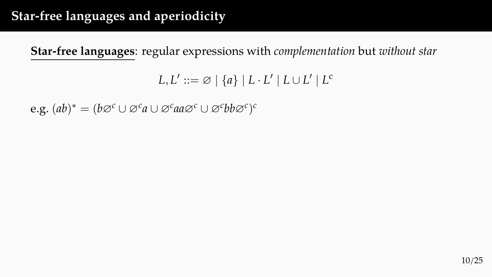## **Star-free languages and aperiodicity**

**Star-free languages**: regular expressions with *complementation* but *without star*

```
L, L' ::= \varnothing \mid \{a\} \mid L \cdot L' \mid L \cup L' \mid L^c
```
 $(e.g. (ab)^* = (b\varnothing^c \cup \varnothing^c a \cup \varnothing^c aa\varnothing^c \cup \varnothing^c bb\varnothing^c)^c$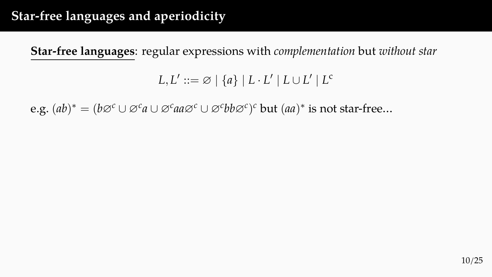## **Star-free languages and aperiodicity**

**Star-free languages**: regular expressions with *complementation* but *without star*

```
L, L' ::= \varnothing \mid \{a\} \mid L \cdot L' \mid L \cup L' \mid L^c
```
 $(e.g. (ab)^* = (b\varnothing^c \cup \varnothing^c a \cup \varnothing^c aa\varnothing^c \cup \varnothing^c bb\varnothing^c)^c$  but  $(aa)^*$  is not star-free…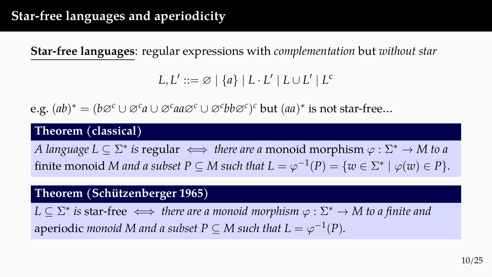**Star-free languages**: regular expressions with *complementation* but *without star*

 $L, L' ::= \varnothing \mid \{a\} \mid L \cdot L' \mid L \cup L' \mid L^c$ 

 $(e.g. (ab)^* = (b\varnothing^c \cup \varnothing^c a \cup \varnothing^c aa\varnothing^c \cup \varnothing^c bb\varnothing^c)^c$  but  $(aa)^*$  is not star-free…

#### **Theorem (classical)**

*A language L*  $\subseteq \Sigma^*$  *is* regular  $\iff$  *there are a* monoid morphism  $\varphi : \Sigma^* \to M$  *to a* finite monoid *M* and a subset  $P \subseteq M$  such that  $L = \varphi^{-1}(P) = \{w \in \Sigma^* \mid \varphi(w) \in P\}.$ 

#### **Theorem (Schützenberger 1965)**

 $L \subseteq \Sigma^*$  *is star-free*  $\iff$  *there are a monoid morphism*  $\varphi : \Sigma^* \to M$  *to a finite and* aperiodic *monoid M and a subset P*  $\subseteq$  *M such that L* =  $\varphi^{-1}(P)$ *.*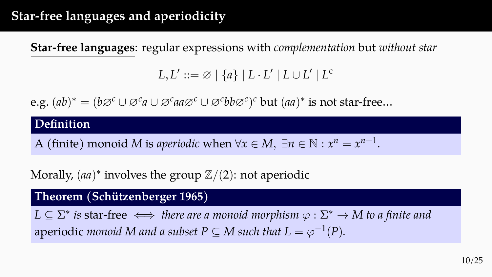## **Star-free languages and aperiodicity**

**Star-free languages**: regular expressions with *complementation* but *without star*

 $L, L' ::= \varnothing \mid \{a\} \mid L \cdot L' \mid L \cup L' \mid L^c$ 

 $(e.g. (ab)^* = (b\varnothing^c \cup \varnothing^c a \cup \varnothing^c aa\varnothing^c \cup \varnothing^c bb\varnothing^c)^c$  but  $(aa)^*$  is not star-free…

#### **Definition**

A (finite) monoid *M* is *aperiodic* when  $\forall x \in M$ ,  $\exists n \in \mathbb{N} : x^n = x^{n+1}$ .

Morally, (*aa*) *∗* involves the group Z*/*(2): not aperiodic

#### **Theorem (Schützenberger 1965)**

 $L \subseteq \Sigma^*$  *is* star-free  $\iff$  *there are a monoid morphism*  $\varphi : \Sigma^* \to M$  *to a finite and* aperiodic *monoid M and a subset P*  $\subseteq$  *M such that L* =  $\varphi^{-1}(P)$ *.*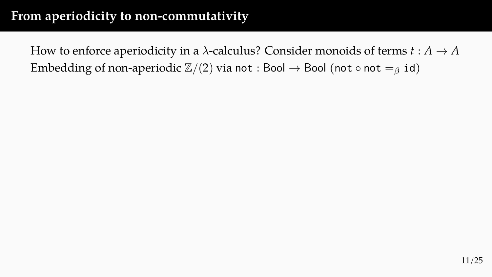How to enforce aperiodicity in a  $\lambda$ -calculus? Consider monoids of terms  $t : A \rightarrow A$ Embedding of non-aperiodic  $\mathbb{Z}/(2)$  via not : Bool  $\rightarrow$  Bool (not  $\circ$  not  $=_\beta$  id)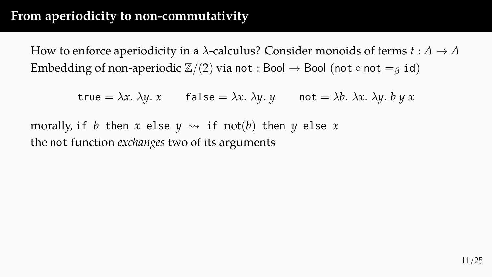How to enforce aperiodicity in a  $\lambda$ -calculus? Consider monoids of terms  $t : A \rightarrow A$ Embedding of non-aperiodic  $\mathbb{Z}/(2)$  via not : Bool  $\rightarrow$  Bool (not  $\circ$  not  $=_\beta$  id)

 $true = \lambda x$ *.*  $\lambda y$ *. x* false =  $\lambda x$ *.*  $\lambda y$ *. y* not =  $\lambda b$ *.*  $\lambda x$ *.*  $\lambda y$ *. b y x* 

morally, if *b* then *x* else  $y \rightsquigarrow$  if not(*b*) then *y* else *x* the not function *exchanges* two of its arguments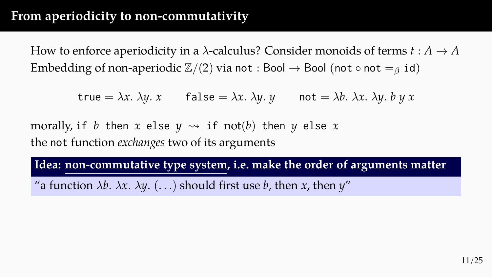How to enforce aperiodicity in a  $\lambda$ -calculus? Consider monoids of terms  $t : A \rightarrow A$ Embedding of non-aperiodic  $\mathbb{Z}/(2)$  via not : Bool  $\rightarrow$  Bool (not  $\circ$  not  $=_\beta$  id)

 $true = \lambda x$ *.*  $\lambda y$ *. x* false =  $\lambda x$ *.*  $\lambda y$ *. y* not =  $\lambda b$ *.*  $\lambda x$ *.*  $\lambda y$ *. b y x* 

morally, if *b* then *x* else  $y \rightsquigarrow$  if not(*b*) then *y* else *x* the not function *exchanges* two of its arguments

**Idea: non-commutative type system, i.e. make the order of arguments matter**

"a function  $\lambda b$ *.*  $\lambda x$ *.*  $\lambda y$ *.* (...) should first use *b*, then *x*, then *y*"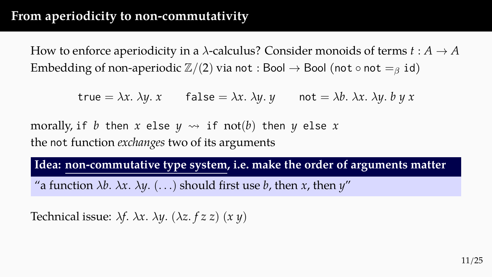How to enforce aperiodicity in a  $\lambda$ -calculus? Consider monoids of terms  $t : A \rightarrow A$ Embedding of non-aperiodic  $\mathbb{Z}/(2)$  via not : Bool  $\rightarrow$  Bool (not  $\circ$  not  $=_\beta$  id)

 $true = \lambda x$ *.*  $\lambda y$ *. x* false =  $\lambda x$ *.*  $\lambda y$ *. y* not =  $\lambda b$ *.*  $\lambda x$ *.*  $\lambda y$ *. b y x* 

morally, if *b* then *x* else  $y \rightsquigarrow$  if not(*b*) then *y* else *x* the not function *exchanges* two of its arguments

**Idea: non-commutative type system, i.e. make the order of arguments matter**

"a function  $\lambda b$ *.*  $\lambda x$ *.*  $\lambda y$ *.* (...) should first use *b*, then *x*, then *y*"

Technical issue: *λf. λx. λy.* (*λz. f z z*) (*x y*)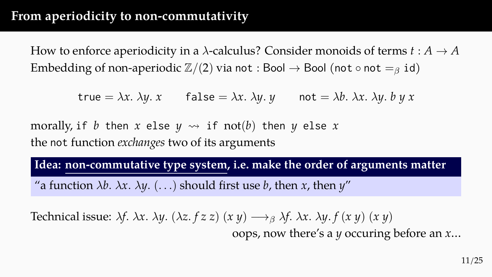How to enforce aperiodicity in a  $\lambda$ -calculus? Consider monoids of terms  $t : A \rightarrow A$ Embedding of non-aperiodic  $\mathbb{Z}/(2)$  via not : Bool  $\rightarrow$  Bool (not  $\circ$  not  $=_\beta$  id)

 $true = \lambda x$ *.*  $\lambda y$ *. x* false =  $\lambda x$ *.*  $\lambda y$ *. y* not =  $\lambda b$ *.*  $\lambda x$ *.*  $\lambda y$ *. b y x* 

morally, if *b* then *x* else  $y \rightsquigarrow$  if not(*b*) then *y* else *x* the not function *exchanges* two of its arguments

**Idea: non-commutative type system, i.e. make the order of arguments matter**

"a function  $\lambda b$ *.*  $\lambda x$ *.*  $\lambda y$ *.* (...) should first use *b*, then *x*, then *y*"

Technical issue:  $\lambda f$ .  $\lambda x$ .  $\lambda y$ . ( $\lambda z$ .  $f z z$ ) ( $x y$ )  $\longrightarrow_{\beta} \lambda f$ .  $\lambda x$ .  $\lambda y$ .  $f (x y) (x y)$ 

oops, now there's a *y* occuring before an *x*…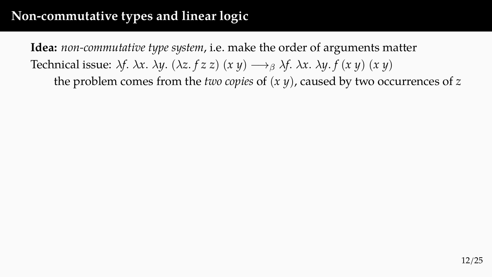### **Non-commutative types and linear logic**

**Idea:** *non-commutative type system*, i.e. make the order of arguments matter Technical issue:  $\lambda f$ .  $\lambda x$ .  $\lambda y$ . ( $\lambda z$ .  $f z z$ ) ( $x y$ )  $\longrightarrow_{\beta} \lambda f$ .  $\lambda x$ .  $\lambda y$ .  $f (x y) (x y)$ the problem comes from the *two copies* of (*x y*), caused by two occurrences of *z*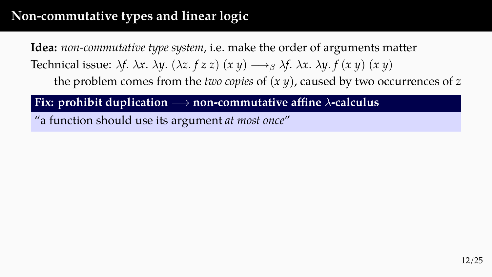## **Non-commutative types and linear logic**

**Idea:** *non-commutative type system*, i.e. make the order of arguments matter Technical issue:  $\lambda f$ .  $\lambda x$ .  $\lambda y$ .  $(\lambda z. f z z)$   $(x y) \rightarrow_{\beta} \lambda f$ .  $\lambda x$ .  $\lambda y$ .  $f (x y)$   $(x y)$ the problem comes from the *two copies* of (*x y*), caused by two occurrences of *z*

**Fix: prohibit duplication** *−→* **non-commutative affine** *λ***-calculus**

"a function should use its argument *at most once*"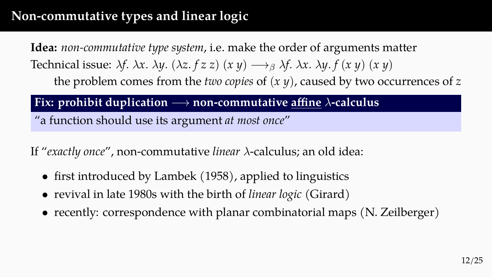## **Non-commutative types and linear logic**

**Idea:** *non-commutative type system*, i.e. make the order of arguments matter Technical issue:  $\lambda f$ .  $\lambda x$ .  $\lambda y$ .  $(\lambda z. f z z)$   $(x y) \rightarrow_{\beta} \lambda f$ .  $\lambda x$ .  $\lambda y$ .  $f (x y)$   $(x y)$ the problem comes from the *two copies* of (*x y*), caused by two occurrences of *z*

**Fix: prohibit duplication** *−→* **non-commutative affine** *λ***-calculus**

"a function should use its argument *at most once*"

If "*exactly once*", non-commutative *linear λ*-calculus; an old idea:

- first introduced by Lambek (1958), applied to linguistics
- revival in late 1980s with the birth of *linear logic* (Girard)
- recently: correspondence with planar combinatorial maps (N. Zeilberger)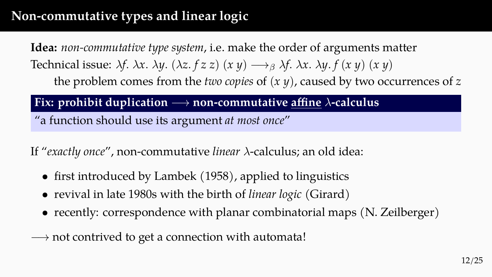# **Non-commutative types and linear logic**

**Idea:** *non-commutative type system*, i.e. make the order of arguments matter Technical issue:  $\lambda f$ .  $\lambda x$ .  $\lambda y$ .  $(\lambda z. f z z)$   $(x y) \rightarrow_{\beta} \lambda f$ .  $\lambda x$ .  $\lambda y$ .  $f (x y)$   $(x y)$ the problem comes from the *two copies* of (*x y*), caused by two occurrences of *z*

**Fix: prohibit duplication** *−→* **non-commutative affine** *λ***-calculus**

"a function should use its argument *at most once*"

If "*exactly once*", non-commutative *linear λ*-calculus; an old idea:

- first introduced by Lambek (1958), applied to linguistics
- revival in late 1980s with the birth of *linear logic* (Girard)
- recently: correspondence with planar combinatorial maps (N. Zeilberger)

*−→* not contrived to get a connection with automata!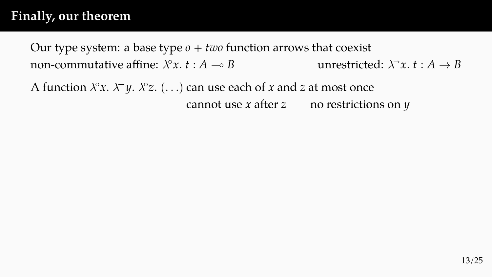## **Finally, our theorem**

Our type system: a base type  $o + two$  function arrows that coexist non-commutative affine:  $\lambda^{\circ}x$ ,  $t : A \rightarrow B$  $\int e^{x}x \cdot t : A \to B$  unrestricted:  $\lambda^{\rightarrow} x \cdot t : A \to B$ 

A function *λ ◦x. λy. λ◦ z.* (*. . .*) can use each of *x* and *z* at most once cannot use *x* after *z* no restrictions on *y*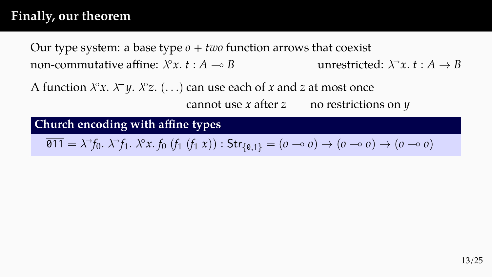## **Finally, our theorem**

Our type system: a base type *o* + *two* function arrows that coexist non-commutative affine:  $\lambda^\circ x$ .  $t : A \to B$  unrestricted:  $\lambda$ *x x*  $\rightarrow$  *B B* 

A function *λ ◦x. λy. λ◦ z.* (*. . .*) can use each of *x* and *z* at most once cannot use *x* after *z* no restrictions on *y*

#### **Church encoding with affine types**

 $\overline{\emptyset}11 = \lambda^{\rightarrow} f_0 \ldotp \lambda^{\rightarrow} f_1 \ldotp \lambda^{\circ} x \ldotp f_0 \ (f_1 \ (f_1 \ x)) : \mathsf{Str}_{\{\emptyset,1\}} = (o \multimap o) \rightarrow (o \multimap o) \rightarrow (o \multimap o)$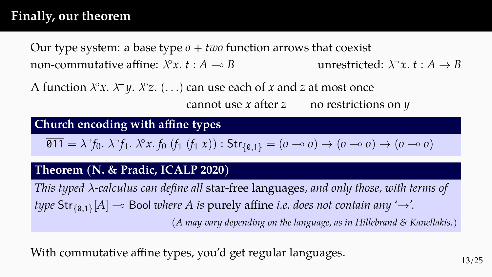## **Finally, our theorem**

Our type system: a base type *o* + *two* function arrows that coexist non-commutative affine:  $\lambda^\circ x$ .  $t : A \to B$  unrestricted:  $\lambda$ *x x*  $\rightarrow$  *B B* 

A function *λ ◦x. λy. λ◦ z.* (*. . .*) can use each of *x* and *z* at most once cannot use *x* after *z* no restrictions on *y*

#### **Church encoding with affine types**

 $\overline{\emptyset}11 = \lambda^{\rightarrow} f_0 \ldotp \lambda^{\rightarrow} f_1 \ldotp \lambda^{\circ} x \ldotp f_0 \ (f_1 \ (f_1 \ x)) : \mathsf{Str}_{\{\emptyset,1\}} = (o \multimap o) \rightarrow (o \multimap o) \rightarrow (o \multimap o)$ 

#### **Theorem (N. & Pradic, ICALP 2020)**

*This typed λ-calculus can define all* star-free languages*, and only those, with terms of type* Str*{*0*,*1*}* [*A*] ⊸ Bool *where A is* purely affine *i.e. does not contain any '→'. (A may vary depending on the language, as in Hillebrand & Kanellakis.)*

With commutative affine types, you'd get regular languages.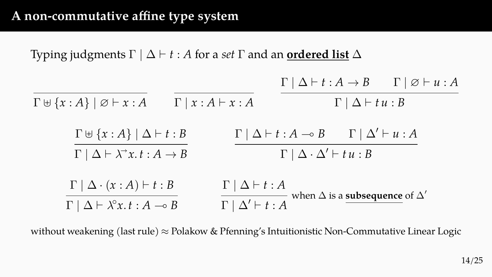Typing judgments  $\Gamma \mid \Delta \vdash t : A$  for a *set*  $\Gamma$  and an **ordered list**  $\Delta$  $\Gamma \uplus \{x : A\} \mid \emptyset \vdash x : A$   $\Gamma \mid x : A \vdash x : A$  $\Gamma | \Delta \vdash t : A \rightarrow B$   $\Gamma | \varnothing \vdash u : A$  $\Gamma$  | Δ  $\vdash$  *t u* : *B* 

$$
\frac{\Gamma \uplus \{x:A\} \mid \Delta \vdash t:B}{\Gamma \mid \Delta \vdash \lambda^{\rightarrow} x.t:A \rightarrow B} \qquad \frac{\Gamma \mid \Delta \vdash t:A \rightarrow B \qquad \Gamma \mid \Delta' \vdash u:A}{\Gamma \mid \Delta \cdot \Delta' \vdash tu:B}
$$

$$
\frac{\Gamma | \Delta \cdot (x:A) \vdash t:B}{\Gamma | \Delta \vdash \lambda^{\circ} x.t:A \multimap B} \qquad \frac{\Gamma | \Delta \vdash t:A}{\Gamma | \Delta' \vdash t:A} \text{ when } \Delta \text{ is a subsequence of  $\Delta'$
$$

without weakening (last rule) *≈* Polakow & Pfenning's Intuitionistic Non-Commutative Linear Logic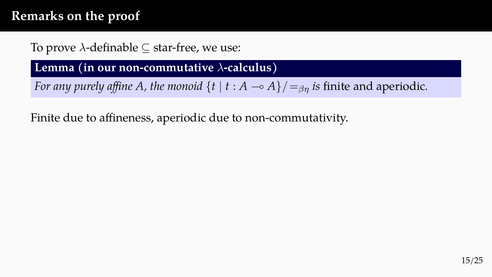To prove *λ*-definable *⊆* star-free, we use:

**Lemma (in our non-commutative** *λ***-calculus)**

*For any purely affine A, the monoid*  $\{t \mid t : A \rightarrow A\} / \{ = g_n}$  *is finite and aperiodic.* 

Finite due to affineness, aperiodic due to non-commutativity.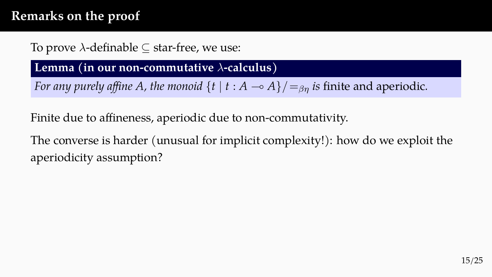### To prove *λ*-definable *⊆* star-free, we use:

#### **Lemma (in our non-commutative** *λ***-calculus)**

*For any purely affine A, the monoid*  $\{t \mid t : A \rightarrow A\} / \{ = g_n}$  *is finite and aperiodic.* 

Finite due to affineness, aperiodic due to non-commutativity.

The converse is harder (unusual for implicit complexity!): how do we exploit the aperiodicity assumption?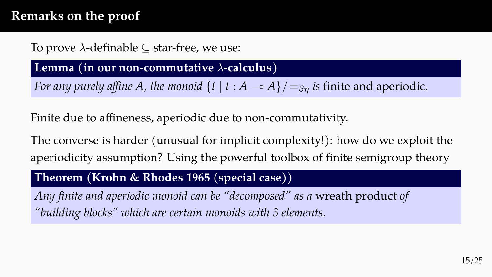### To prove *λ*-definable *⊆* star-free, we use:

#### **Lemma (in our non-commutative** *λ***-calculus)**

*For any purely affine A, the monoid*  $\{t \mid t : A \rightarrow A\} / \{ =_{\beta n} \}$  *is finite and aperiodic.* 

Finite due to affineness, aperiodic due to non-commutativity.

The converse is harder (unusual for implicit complexity!): how do we exploit the aperiodicity assumption? Using the powerful toolbox of finite semigroup theory

#### **Theorem (Krohn & Rhodes 1965 (special case))**

*Any finite and aperiodic monoid can be "decomposed" as a* wreath product *of "building blocks" which are certain monoids with 3 elements.*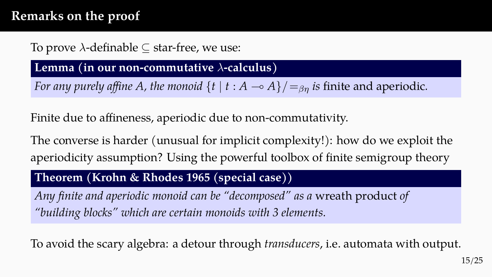### To prove *λ*-definable *⊆* star-free, we use:

#### **Lemma (in our non-commutative** *λ***-calculus)**

*For any purely affine A, the monoid*  $\{t \mid t : A \rightarrow A\} / \{ = g_n}$  *is finite and aperiodic.* 

Finite due to affineness, aperiodic due to non-commutativity.

The converse is harder (unusual for implicit complexity!): how do we exploit the aperiodicity assumption? Using the powerful toolbox of finite semigroup theory

#### **Theorem (Krohn & Rhodes 1965 (special case))**

*Any finite and aperiodic monoid can be "decomposed" as a* wreath product *of "building blocks" which are certain monoids with 3 elements.*

To avoid the scary algebra: a detour through *transducers*, i.e. automata with output.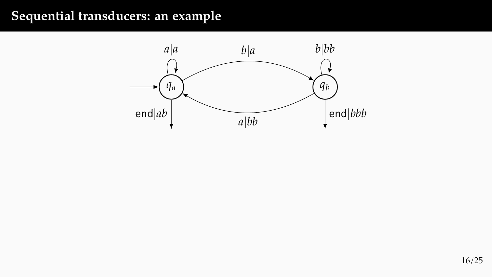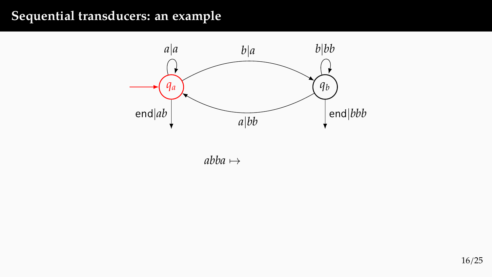

*abba 7→*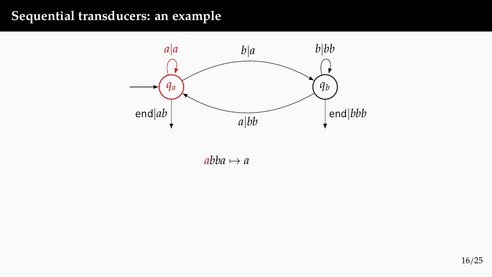

 $abba \mapsto a$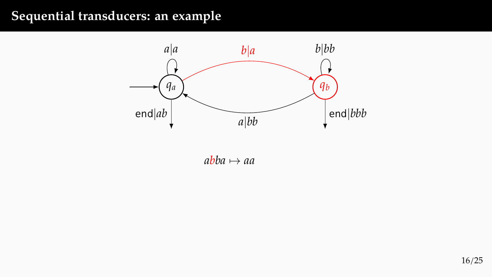

 $abba \mapsto aa$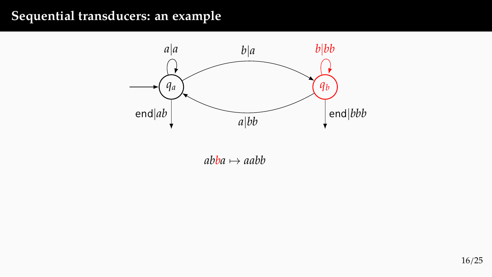

 $abba \mapsto aabb$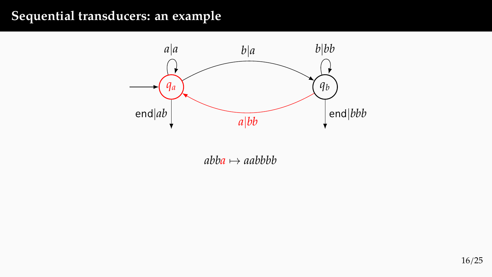

 $abba \mapsto aabbbb$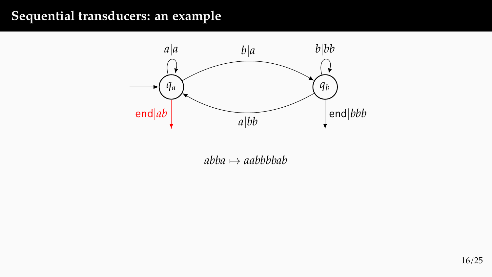

*abba 7→ aabbbbab*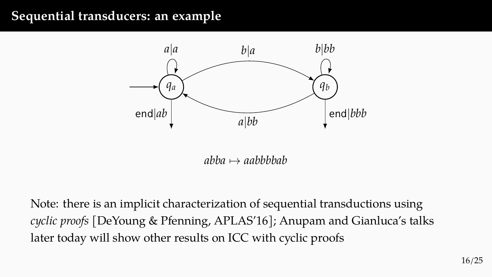

*abba 7→ aabbbbab*

Note: there is an implicit characterization of sequential transductions using *cyclic proofs* [DeYoung & Pfenning, APLAS'16]; Anupam and Gianluca's talks later today will show other results on ICC with cyclic proofs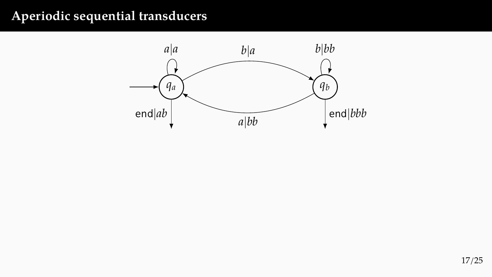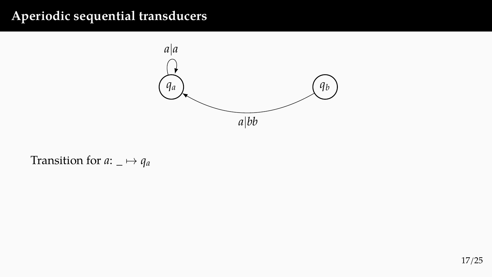

### Transition for  $a: \_\rightarrow q_a$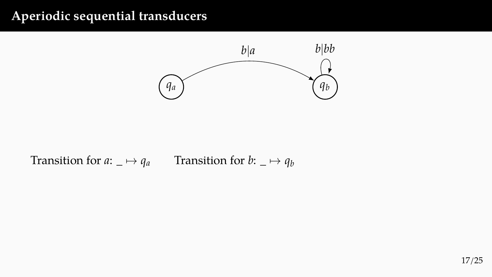

Transition for  $a: \Box \mapsto q_a$  Transition for  $b: \Box \mapsto q_b$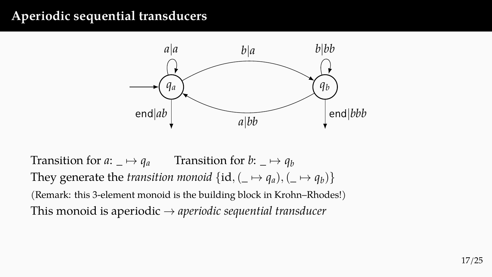

Transition for  $a: \Box \mapsto q_a$  Transition for  $b: \Box \mapsto q_b$ They generate the *transition monoid*  $\{id, (\underline{\ } \mapsto q_a), (\underline{\ } \mapsto q_b)\}$ (Remark: this 3-element monoid is the building block in Krohn–Rhodes!) This monoid is aperiodic *→ aperiodic sequential transducer*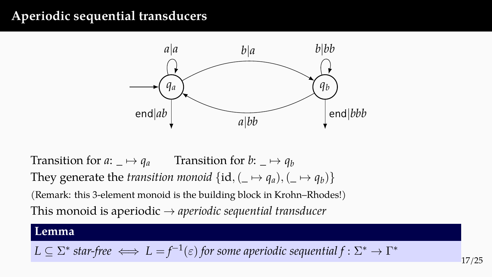

Transition for  $a: \Box \mapsto q_a$  Transition for  $b: \Box \mapsto q_b$ They generate the *transition monoid*  $\{id, (\underline{\ } \mapsto q_a), (\underline{\ } \mapsto q_b)\}$ (Remark: this 3-element monoid is the building block in Krohn–Rhodes!) This monoid is aperiodic *→ aperiodic sequential transducer*

#### **Lemma**

$$
L \subseteq \Sigma^*
$$
 star-free  $\iff$   $L = f^{-1}(\varepsilon)$  for some aperiodic sequential  $f : \Sigma^* \to \Gamma^*$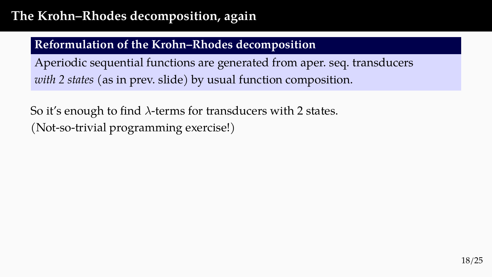# **The Krohn–Rhodes decomposition, again**

### **Reformulation of the Krohn–Rhodes decomposition**

Aperiodic sequential functions are generated from aper. seq. transducers *with 2 states* (as in prev. slide) by usual function composition.

So it's enough to find *λ*-terms for transducers with 2 states. (Not-so-trivial programming exercise!)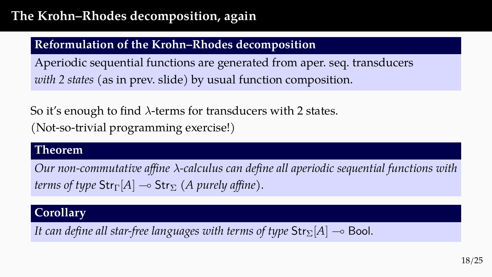# **The Krohn–Rhodes decomposition, again**

### **Reformulation of the Krohn–Rhodes decomposition**

Aperiodic sequential functions are generated from aper. seq. transducers *with 2 states* (as in prev. slide) by usual function composition.

So it's enough to find *λ*-terms for transducers with 2 states. (Not-so-trivial programming exercise!)

#### **Theorem**

*Our non-commutative affine λ-calculus can define all aperiodic sequential functions with terms of type*  $\text{Str}_{\Gamma}[A] \rightarrow \text{Str}_{\Sigma}$  *(A purely affine).* 

### **Corollary**

*It can define all star-free languages with terms of type*  $\text{Str}_{\Sigma}[A] \rightarrow$  Bool.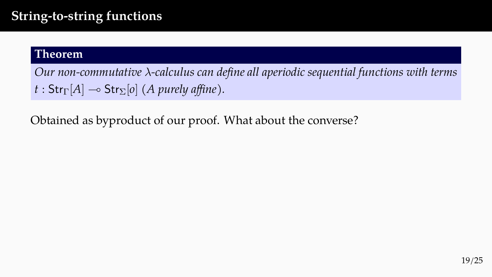# **String-to-string functions**

#### **Theorem**

*Our non-commutative λ-calculus can define all aperiodic sequential functions with terms*  $t : Str_{\Gamma}[A] \rightarrow Str_{\Sigma}[o]$  *(A purely affine).* 

Obtained as byproduct of our proof. What about the converse?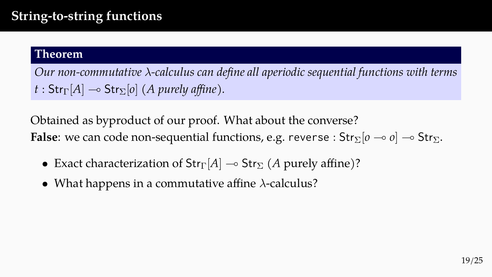# **String-to-string functions**

#### **Theorem**

*Our non-commutative λ-calculus can define all aperiodic sequential functions with terms*  $t : Str_{\Gamma}[A] \rightarrow Str_{\Sigma}[o]$  *(A purely affine).* 

Obtained as byproduct of our proof. What about the converse? **False**: we can code non-sequential functions, e.g. reverse :  $\text{Str}_{\Sigma}[o \multimap o] \multimap \text{Str}_{\Sigma}$ .

- Exact characterization of  $\text{Str}_{\Gamma}[A] \rightarrow \text{Str}_{\Sigma}(A)$  purely affine)?
- What happens in a commutative affine *λ*-calculus?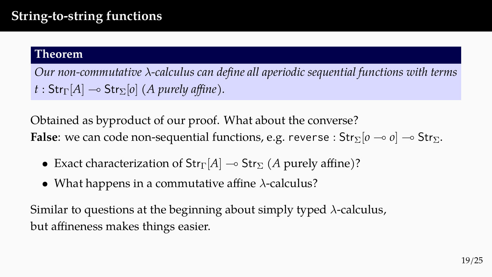# **String-to-string functions**

#### **Theorem**

*Our non-commutative λ-calculus can define all aperiodic sequential functions with terms*  $t : Str_{\Gamma}[A] \rightarrow Str_{\Sigma}[o]$  *(A purely affine).* 

Obtained as byproduct of our proof. What about the converse? **False**: we can code non-sequential functions, e.g. reverse :  $\text{Str}_{\Sigma}[o \multimap o] \multimap \text{Str}_{\Sigma}$ .

- Exact characterization of  $\text{Str}_{\Gamma}[A] \rightarrow \text{Str}_{\Sigma}(A$  purely affine)?
- What happens in a commutative affine *λ*-calculus?

Similar to questions at the beginning about simply typed *λ*-calculus, but affineness makes things easier.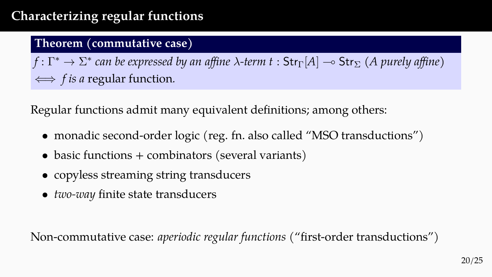# **Characterizing regular functions**

#### **Theorem (commutative case)**

 $f\colon\Gamma^*\to\Sigma^*$  can be expressed by an affine  $\lambda$ -term  $t: \mathsf{Str}_\Gamma[A]\multimap \mathsf{Str}_\Sigma$  (A purely affine) *⇐⇒ f is a* regular function*.*

Regular functions admit many equivalent definitions; among others:

- monadic second-order logic (reg. fn. also called "MSO transductions")
- basic functions + combinators (several variants)
- copyless streaming string transducers
- *two-way* finite state transducers

Non-commutative case: *aperiodic regular functions* ("first-order transductions")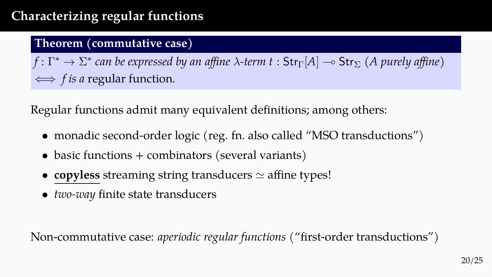# **Characterizing regular functions**

#### **Theorem (commutative case)**

 $f\colon\Gamma^*\to\Sigma^*$  can be expressed by an affine  $\lambda$ -term  $t: \mathsf{Str}_\Gamma[A]\multimap \mathsf{Str}_\Sigma$  (A purely affine) *⇐⇒ f is a* regular function*.*

Regular functions admit many equivalent definitions; among others:

- monadic second-order logic (reg. fn. also called "MSO transductions")
- basic functions + combinators (several variants)
- **copyless** streaming string transducers  $\simeq$  affine types!
- *two-way* finite state transducers

Non-commutative case: *aperiodic regular functions* ("first-order transductions")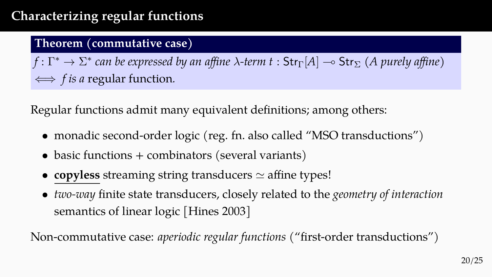# **Characterizing regular functions**

#### **Theorem (commutative case)**

 $f\colon\Gamma^*\to\Sigma^*$  can be expressed by an affine  $\lambda$ -term  $t: \mathsf{Str}_\Gamma[A]\multimap \mathsf{Str}_\Sigma$  (A purely affine) *⇐⇒ f is a* regular function*.*

Regular functions admit many equivalent definitions; among others:

- monadic second-order logic (reg. fn. also called "MSO transductions")
- basic functions + combinators (several variants)
- **copyless** streaming string transducers  $\simeq$  affine types!
- *two-way* finite state transducers, closely related to the *geometry of interaction* semantics of linear logic [Hines 2003]

Non-commutative case: *aperiodic regular functions* ("first-order transductions")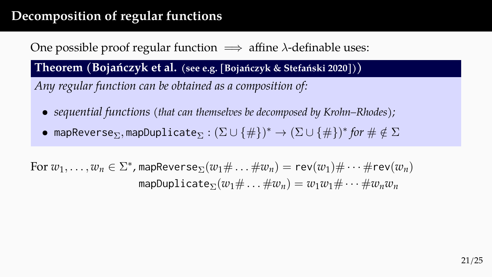# **Decomposition of regular functions**

### One possible proof regular function =*⇒* affine *λ*-definable uses:

**Theorem (Bojańczyk et al. (see e.g. [Bojańczyk & Stefański 2020]))**

*Any regular function can be obtained as a composition of:*

- *sequential functions (that can themselves be decomposed by Krohn–Rhodes);*
- $\bullet$  mapReverse $_{\Sigma},$ mapDuplicate $_{\Sigma}:(\Sigma\cup\{\#\})^*\to(\Sigma\cup\{\#\})^*$  *for*  $\#\notin\Sigma$

 $\text{For } w_1, \ldots, w_n \in \Sigma^*$ , map $\text{Reverse}_{\Sigma}(w_1 \# \ldots \# w_n) = \text{rev}(w_1) \# \cdots \# \text{rev}(w_n)$  $m$ mapDuplicate<sub> $\Sigma$ </sub> $(w_1 \# \dots \# w_n) = w_1 w_1 \# \dots \# w_n w_n$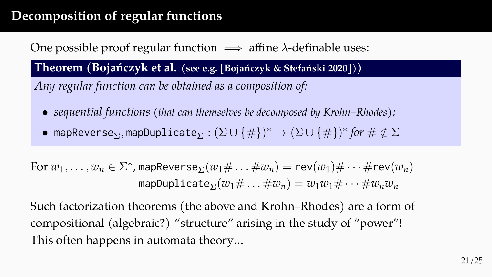# **Decomposition of regular functions**

## One possible proof regular function =*⇒* affine *λ*-definable uses:

**Theorem (Bojańczyk et al. (see e.g. [Bojańczyk & Stefański 2020]))**

*Any regular function can be obtained as a composition of:*

- *sequential functions (that can themselves be decomposed by Krohn–Rhodes);*
- $\bullet$  mapReverse $_{\Sigma},$ mapDuplicate $_{\Sigma}:(\Sigma\cup\{\#\})^*\to(\Sigma\cup\{\#\})^*$  *for*  $\#\notin\Sigma$

 $\text{For } w_1, \ldots, w_n \in \Sigma^*$ , map $\text{Reverse}_{\Sigma}(w_1 \# \ldots \# w_n) = \text{rev}(w_1) \# \cdots \# \text{rev}(w_n)$  $mapDoubleDate_{\Sigma}(w_1 \# ... \#w_n) = w_1w_1 \# ... \#w_nw_n$ 

Such factorization theorems (the above and Krohn–Rhodes) are a form of compositional (algebraic?) "structure" arising in the study of "power"! This often happens in automata theory…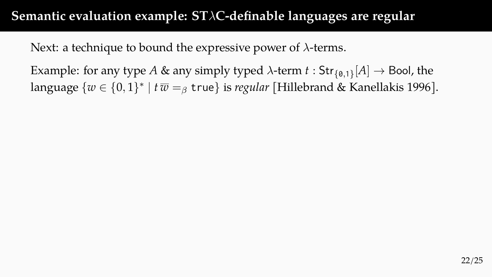Next: a technique to bound the expressive power of *λ*-terms.

Example: for any type *A* & any simply typed *λ*-term *t* : Str*{*0*,*1*}* [*A*] *→* Bool, the language *{w ∈ {*0*,* 1*} ∗ | t w* =*<sup>β</sup>* true*}* is *regular* [Hillebrand & Kanellakis 1996].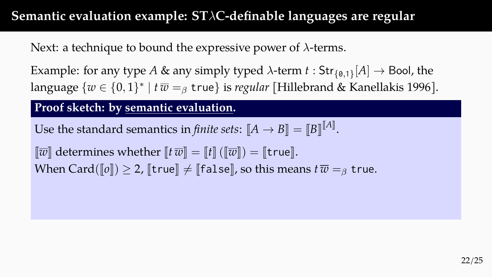Next: a technique to bound the expressive power of *λ*-terms.

Example: for any type *A* & any simply typed *λ*-term *t* : Str*{*0*,*1*}* [*A*] *→* Bool, the language *{w ∈ {*0*,* 1*} ∗ | t w* =*<sup>β</sup>* true*}* is *regular* [Hillebrand & Kanellakis 1996].

#### **Proof sketch: by semantic evaluation.**

Use the standard semantics in *finite sets*:  $\llbracket A \to B \rrbracket = \llbracket B \rrbracket^{\llbracket A \rrbracket}.$ 

 $\Vert \overline{w} \Vert$  determines whether  $\Vert t \overline{w} \Vert = \Vert t \Vert (\Vert \overline{w} \Vert) = \Vert$ true $\Vert$ . When Card( $\llbracket \sigma \rrbracket$ )  $\geq 2$ ,  $\llbracket$  true $\rrbracket \neq \llbracket$  false $\rrbracket$ , so this means  $t\bar{w} = g$  true.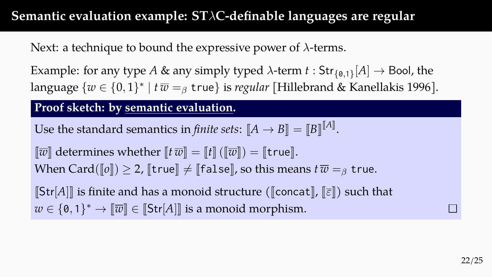Next: a technique to bound the expressive power of *λ*-terms.

Example: for any type *A* & any simply typed *λ*-term *t* : Str*{*0*,*1*}* [*A*] *→* Bool, the language *{w ∈ {*0*,* 1*} ∗ | t w* =*<sup>β</sup>* true*}* is *regular* [Hillebrand & Kanellakis 1996].

#### **Proof sketch: by semantic evaluation.**

Use the standard semantics in *finite sets*:  $\llbracket A \to B \rrbracket = \llbracket B \rrbracket^{\llbracket A \rrbracket}.$ 

 $\Vert \overline{w} \Vert$  determines whether  $\Vert t \overline{w} \Vert = \Vert t \Vert (\Vert \overline{w} \Vert) = \Vert$ true $\Vert$ . When Card( $\llbracket \varrho \rrbracket$ )  $\geq 2$ ,  $\llbracket$  true  $\rrbracket \neq \llbracket$  false $\rrbracket$ , so this means  $t\bar{w} = \beta$  true.

 $\left[\mathsf{Str}[A]\right]$  is finite and has a monoid structure ( $\left[\mathsf{concat}\right], \left[\overline{\varepsilon}\right]$ ) such that  $w \in \{0,1\}^* \to \llbracket \overline{w} \rrbracket \in \llbracket \mathsf{Str}[A] \rrbracket$  is a monoid morphism.

 $\Box$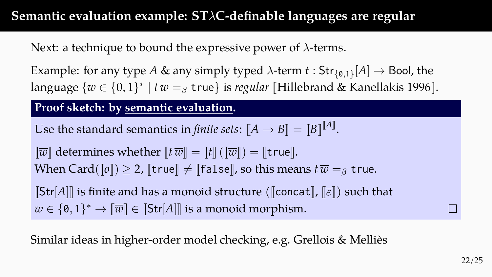Next: a technique to bound the expressive power of *λ*-terms.

Example: for any type *A* & any simply typed *λ*-term *t* : Str*{*0*,*1*}* [*A*] *→* Bool, the language *{w ∈ {*0*,* 1*} ∗ | t w* =*<sup>β</sup>* true*}* is *regular* [Hillebrand & Kanellakis 1996].

#### **Proof sketch: by semantic evaluation.**

Use the standard semantics in *finite sets*:  $\llbracket A \to B \rrbracket = \llbracket B \rrbracket^{\llbracket A \rrbracket}.$ 

 $\llbracket \overline{w} \rrbracket$  determines whether  $\llbracket t \overline{w} \rrbracket = \llbracket t \rrbracket (\llbracket \overline{w} \rrbracket) = \llbracket \text{true} \rrbracket$ . When Card( $\llbracket \sigma \rrbracket$ )  $\geq 2$ ,  $\llbracket$  true $\rrbracket \neq \llbracket$  false $\rrbracket$ , so this means  $t\bar{w} = g$  true.

 $\left[\mathsf{Str}[A]\right]$  is finite and has a monoid structure ( $\left[\mathsf{concat}\right], \left[\overline{\varepsilon}\right]$ ) such that  $w \in \{0,1\}^* \to \llbracket \overline{w} \rrbracket \in \llbracket \mathsf{Str}[A] \rrbracket$  is a monoid morphism.

Similar ideas in higher-order model checking, e.g. Grellois & Melliès

 $\Box$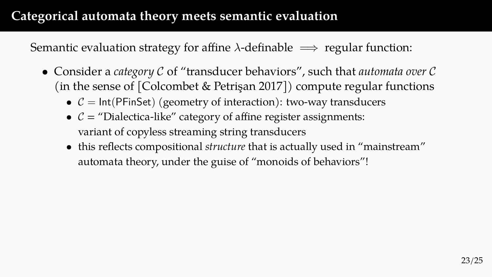# **Categorical automata theory meets semantic evaluation**

Semantic evaluation strategy for affine *λ*-definable =*⇒* regular function:

- Consider a *category C* of "transducer behaviors", such that *automata over C* (in the sense of [Colcombet & Petrişan 2017]) compute regular functions
	- $C = \text{Int}(\text{PFinSet})$  (geometry of interaction): two-way transducers
	- $C =$  "Dialectica-like" category of affine register assignments: variant of copyless streaming string transducers
	- this reflects compositional *structure* that is actually used in "mainstream" automata theory, under the guise of "monoids of behaviors"!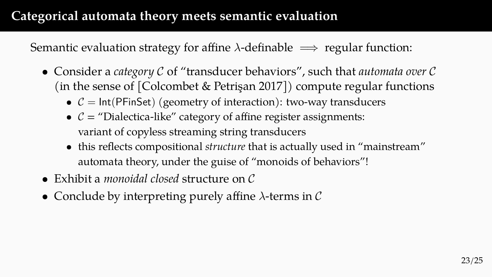# **Categorical automata theory meets semantic evaluation**

Semantic evaluation strategy for affine *λ*-definable =*⇒* regular function:

- Consider a *category C* of "transducer behaviors", such that *automata over C* (in the sense of [Colcombet & Petrişan 2017]) compute regular functions
	- $C = \text{Int}(\text{PFinSet})$  (geometry of interaction): two-way transducers
	- $C =$  "Dialectica-like" category of affine register assignments: variant of copyless streaming string transducers
	- this reflects compositional *structure* that is actually used in "mainstream" automata theory, under the guise of "monoids of behaviors"!
- Exhibit a *monoidal closed* structure on *C*
- Conclude by interpreting purely affine *λ*-terms in *C*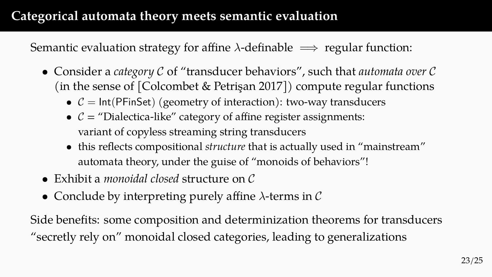# **Categorical automata theory meets semantic evaluation**

Semantic evaluation strategy for affine *λ*-definable =*⇒* regular function:

- Consider a *category C* of "transducer behaviors", such that *automata over C* (in the sense of [Colcombet & Petrişan 2017]) compute regular functions
	- $C = \text{Int}(\text{PFinSet})$  (geometry of interaction): two-way transducers
	- $C =$  "Dialectica-like" category of affine register assignments: variant of copyless streaming string transducers
	- this reflects compositional *structure* that is actually used in "mainstream" automata theory, under the guise of "monoids of behaviors"!
- Exhibit a *monoidal closed* structure on *C*
- Conclude by interpreting purely affine *λ*-terms in *C*

Side benefits: some composition and determinization theorems for transducers "secretly rely on" monoidal closed categories, leading to generalizations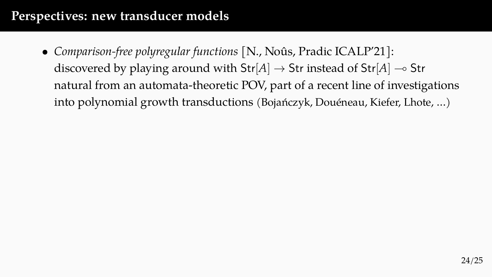• *Comparison-free polyregular functions* [N., Noûs, Pradic ICALP'21]: discovered by playing around with Str[*A*] *→* Str instead of Str[*A*] ⊸ Str natural from an automata-theoretic POV, part of a recent line of investigations into polynomial growth transductions (Bojańczyk, Douéneau, Kiefer, Lhote, …)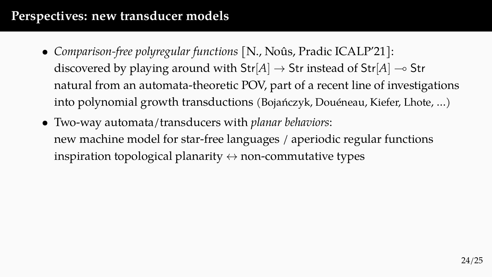- *Comparison-free polyregular functions* [N., Noûs, Pradic ICALP'21]: discovered by playing around with Str[*A*] *→* Str instead of Str[*A*] ⊸ Str natural from an automata-theoretic POV, part of a recent line of investigations into polynomial growth transductions (Bojańczyk, Douéneau, Kiefer, Lhote, …)
- Two-way automata/transducers with *planar behaviors*: new machine model for star-free languages / aperiodic regular functions inspiration topological planarity *↔* non-commutative types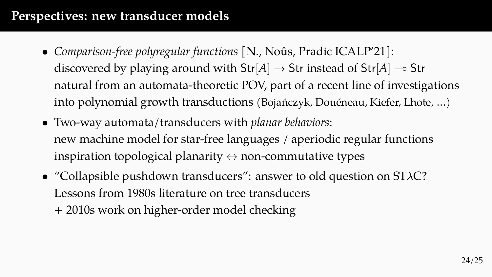- *Comparison-free polyregular functions* [N., Noûs, Pradic ICALP'21]: discovered by playing around with Str[*A*] *→* Str instead of Str[*A*] ⊸ Str natural from an automata-theoretic POV, part of a recent line of investigations into polynomial growth transductions (Bojańczyk, Douéneau, Kiefer, Lhote, …)
- Two-way automata/transducers with *planar behaviors*: new machine model for star-free languages / aperiodic regular functions inspiration topological planarity *↔* non-commutative types
- "Collapsible pushdown transducers": answer to old question on ST*λ*C? Lessons from 1980s literature on tree transducers + 2010s work on higher-order model checking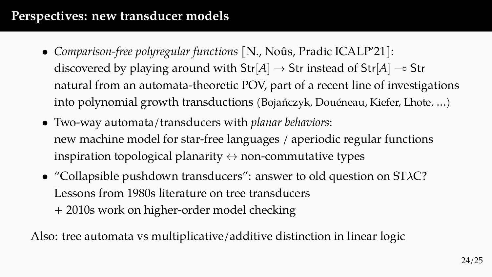- *Comparison-free polyregular functions* [N., Noûs, Pradic ICALP'21]: discovered by playing around with Str[*A*] *→* Str instead of Str[*A*] ⊸ Str natural from an automata-theoretic POV, part of a recent line of investigations into polynomial growth transductions (Bojańczyk, Douéneau, Kiefer, Lhote, …)
- Two-way automata/transducers with *planar behaviors*: new machine model for star-free languages / aperiodic regular functions inspiration topological planarity *↔* non-commutative types
- "Collapsible pushdown transducers": answer to old question on ST*λ*C? Lessons from 1980s literature on tree transducers + 2010s work on higher-order model checking

Also: tree automata vs multiplicative/additive distinction in linear logic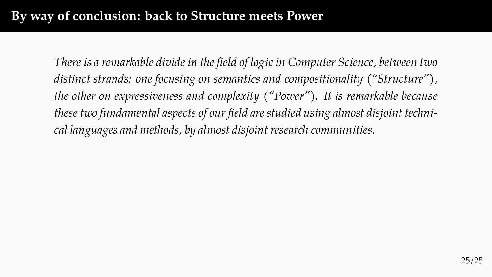# **By way of conclusion: back to Structure meets Power**

*There is a remarkable divide in the field of logic in Computer Science, between two distinct strands: one focusing on semantics and compositionality ("Structure"), the other on expressiveness and complexity ("Power"). It is remarkable because these two fundamental aspects of our field are studied using almost disjoint technical languages and methods, by almost disjoint research communities.*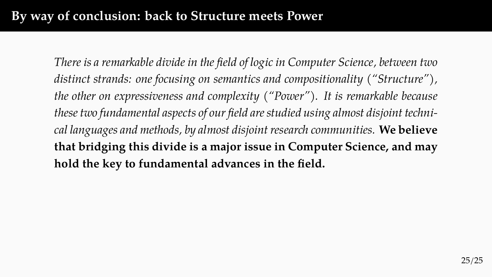# **By way of conclusion: back to Structure meets Power**

*There is a remarkable divide in the field of logic in Computer Science, between two distinct strands: one focusing on semantics and compositionality ("Structure"), the other on expressiveness and complexity ("Power"). It is remarkable because these two fundamental aspects of our field are studied using almost disjoint technical languages and methods, by almost disjoint research communities.* **We believe that bridging this divide is a major issue in Computer Science, and may hold the key to fundamental advances in the field.**